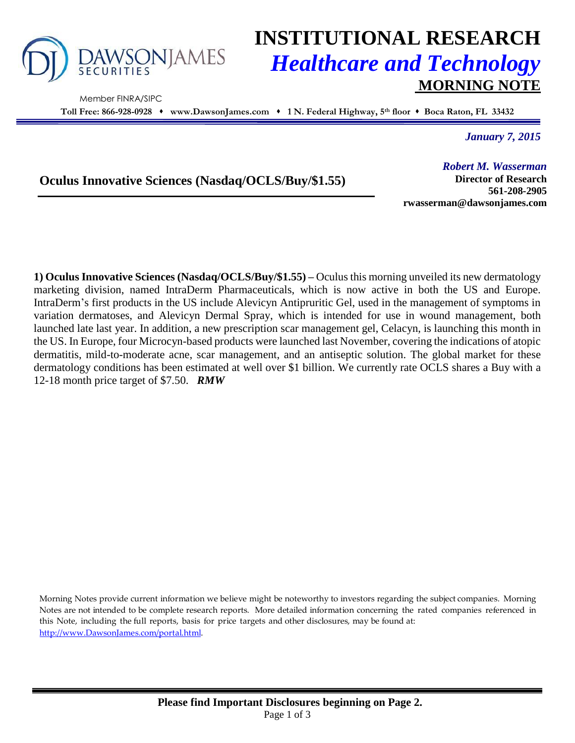

Member FINRA/SIPC

# **INSTITUTIONAL RESEARCH** *Healthcare and Technology* **MORNING NOTE**

**Toll Free: 866-928-0928 www.DawsonJames.com 1 N. Federal Highway, 5 th floor Boca Raton, FL 33432**

*January 7, 2015*

## **Oculus Innovative Sciences (Nasdaq/OCLS/Buy/\$1.55)**

*Robert M. Wasserman* **Director of Research 561-208-2905 rwasserman@dawsonjames.com**

**1) Oculus Innovative Sciences (Nasdaq/OCLS/Buy/\$1.55) –** Oculus this morning unveiled its new dermatology marketing division, named IntraDerm Pharmaceuticals, which is now active in both the US and Europe. IntraDerm's first products in the US include Alevicyn Antipruritic Gel, used in the management of symptoms in variation dermatoses, and Alevicyn Dermal Spray, which is intended for use in wound management, both launched late last year. In addition, a new prescription scar management gel, Celacyn, is launching this month in the US. In Europe, four Microcyn-based products were launched last November, covering the indications of atopic dermatitis, mild-to-moderate acne, scar management, and an antiseptic solution. The global market for these dermatology conditions has been estimated at well over \$1 billion. We currently rate OCLS shares a Buy with a 12-18 month price target of \$7.50. *RMW*

Morning Notes provide current information we believe might be noteworthy to investors regarding the subject companies. Morning Notes are not intended to be complete research reports. More detailed information concerning the rated companies referenced in this Note, including the full reports, basis for price targets and other disclosures, may be found at: [http://www.DawsonJames.com/portal.html.](http://www.dawsonjames.com/portal.html)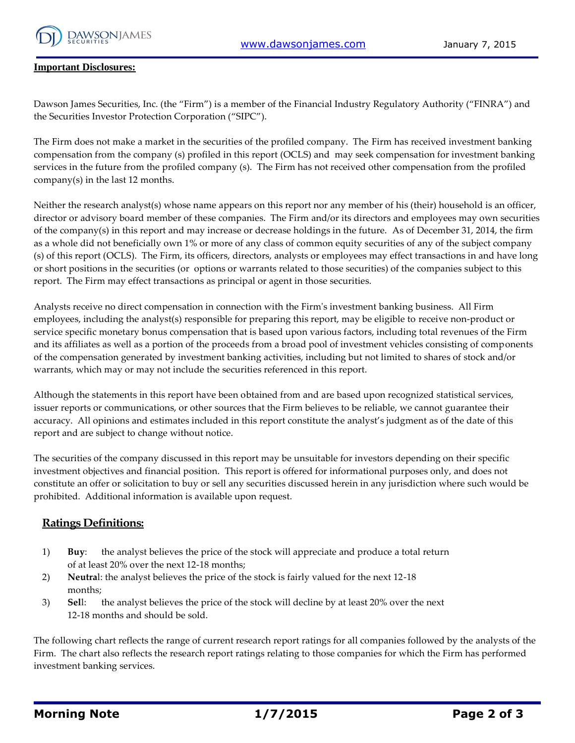

#### **Important Disclosures:**

Dawson James Securities, Inc. (the "Firm") is a member of the Financial Industry Regulatory Authority ("FINRA") and the Securities Investor Protection Corporation ("SIPC").

The Firm does not make a market in the securities of the profiled company. The Firm has received investment banking compensation from the company (s) profiled in this report (OCLS) and may seek compensation for investment banking services in the future from the profiled company (s). The Firm has not received other compensation from the profiled company(s) in the last 12 months.

Neither the research analyst(s) whose name appears on this report nor any member of his (their) household is an officer, director or advisory board member of these companies. The Firm and/or its directors and employees may own securities of the company(s) in this report and may increase or decrease holdings in the future. As of December 31, 2014, the firm as a whole did not beneficially own 1% or more of any class of common equity securities of any of the subject company (s) of this report (OCLS). The Firm, its officers, directors, analysts or employees may effect transactions in and have long or short positions in the securities (or options or warrants related to those securities) of the companies subject to this report. The Firm may effect transactions as principal or agent in those securities.

Analysts receive no direct compensation in connection with the Firm's investment banking business. All Firm employees, including the analyst(s) responsible for preparing this report, may be eligible to receive non-product or service specific monetary bonus compensation that is based upon various factors, including total revenues of the Firm and its affiliates as well as a portion of the proceeds from a broad pool of investment vehicles consisting of components of the compensation generated by investment banking activities, including but not limited to shares of stock and/or warrants, which may or may not include the securities referenced in this report.

Although the statements in this report have been obtained from and are based upon recognized statistical services, issuer reports or communications, or other sources that the Firm believes to be reliable, we cannot guarantee their accuracy. All opinions and estimates included in this report constitute the analyst's judgment as of the date of this report and are subject to change without notice.

The securities of the company discussed in this report may be unsuitable for investors depending on their specific investment objectives and financial position. This report is offered for informational purposes only, and does not constitute an offer or solicitation to buy or sell any securities discussed herein in any jurisdiction where such would be prohibited. Additional information is available upon request.

### **Ratings Definitions:**

- 1) **Buy**: the analyst believes the price of the stock will appreciate and produce a total return of at least 20% over the next 12-18 months;
- 2) **Neutra**l: the analyst believes the price of the stock is fairly valued for the next 12-18 months;
- 3) **Sel**l: the analyst believes the price of the stock will decline by at least 20% over the next 12-18 months and should be sold.

The following chart reflects the range of current research report ratings for all companies followed by the analysts of the Firm. The chart also reflects the research report ratings relating to those companies for which the Firm has performed investment banking services.